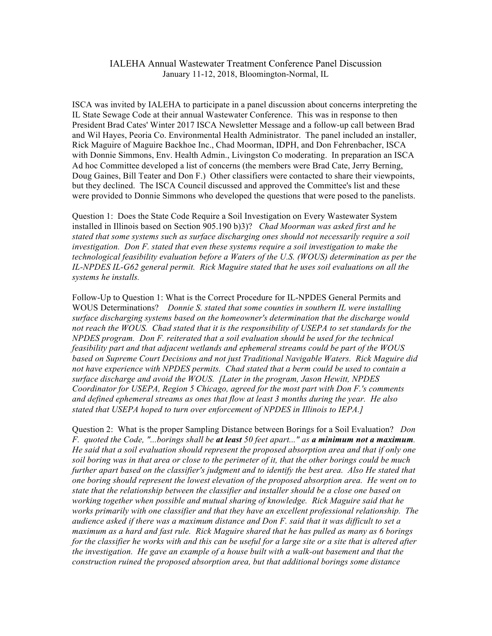## IALEHA Annual Wastewater Treatment Conference Panel Discussion January 11-12, 2018, Bloomington-Normal, IL

ISCA was invited by IALEHA to participate in a panel discussion about concerns interpreting the IL State Sewage Code at their annual Wastewater Conference. This was in response to then President Brad Cates' Winter 2017 ISCA Newsletter Message and a follow-up call between Brad and Wil Hayes, Peoria Co. Environmental Health Administrator. The panel included an installer, Rick Maguire of Maguire Backhoe Inc., Chad Moorman, IDPH, and Don Fehrenbacher, ISCA with Donnie Simmons, Env. Health Admin., Livingston Co moderating. In preparation an ISCA Ad hoc Committee developed a list of concerns (the members were Brad Cate, Jerry Berning, Doug Gaines, Bill Teater and Don F.) Other classifiers were contacted to share their viewpoints, but they declined. The ISCA Council discussed and approved the Committee's list and these were provided to Donnie Simmons who developed the questions that were posed to the panelists.

Question 1: Does the State Code Require a Soil Investigation on Every Wastewater System installed in Illinois based on Section 905.190 b)3)? *Chad Moorman was asked first and he stated that some systems such as surface discharging ones should not necessarily require a soil investigation. Don F. stated that even these systems require a soil investigation to make the technological feasibility evaluation before a Waters of the U.S. (WOUS) determination as per the IL-NPDES IL-G62 general permit. Rick Maguire stated that he uses soil evaluations on all the systems he installs.*

Follow-Up to Question 1: What is the Correct Procedure for IL-NPDES General Permits and WOUS Determinations? *Donnie S. stated that some counties in southern IL were installing surface discharging systems based on the homeowner's determination that the discharge would not reach the WOUS. Chad stated that it is the responsibility of USEPA to set standards for the NPDES program. Don F. reiterated that a soil evaluation should be used for the technical feasibility part and that adjacent wetlands and ephemeral streams could be part of the WOUS based on Supreme Court Decisions and not just Traditional Navigable Waters. Rick Maguire did not have experience with NPDES permits. Chad stated that a berm could be used to contain a surface discharge and avoid the WOUS. [Later in the program, Jason Hewitt, NPDES Coordinator for USEPA, Region 5 Chicago, agreed for the most part with Don F.'s comments and defined ephemeral streams as ones that flow at least 3 months during the year. He also stated that USEPA hoped to turn over enforcement of NPDES in Illinois to IEPA.]*

Question 2: What is the proper Sampling Distance between Borings for a Soil Evaluation? *Don F. quoted the Code, "...borings shall be at least 50 feet apart..." as a minimum not a maximum. He said that a soil evaluation should represent the proposed absorption area and that if only one soil boring was in that area or close to the perimeter of it, that the other borings could be much further apart based on the classifier's judgment and to identify the best area. Also He stated that one boring should represent the lowest elevation of the proposed absorption area. He went on to state that the relationship between the classifier and installer should be a close one based on working together when possible and mutual sharing of knowledge. Rick Maguire said that he works primarily with one classifier and that they have an excellent professional relationship. The audience asked if there was a maximum distance and Don F. said that it was difficult to set a maximum as a hard and fast rule. Rick Maguire shared that he has pulled as many as 6 borings for the classifier he works with and this can be useful for a large site or a site that is altered after the investigation. He gave an example of a house built with a walk-out basement and that the construction ruined the proposed absorption area, but that additional borings some distance*